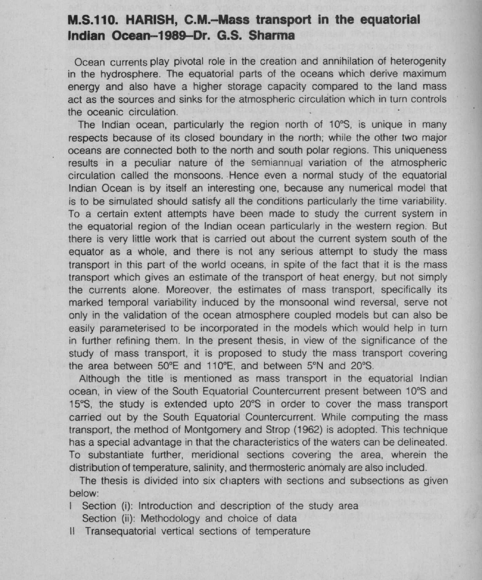## M.S.110. HARISH, **C.M.-Mass transport in the equatorial** Indian Ocean--**1989**-Dr. G.S. **Sharma**

Ocean currents play pivotal role in the creation and annihilation of heterogenity in the hydrosphere. The equatorial parts of the oceans which derive maximum energy and also have a higher storage capacity compared to the land mass act as the sources and sinks for the atmospheric circulation which in turn controls the oceanic circulation.

The Indian ocean, particularly the region north of 10°S, is unique in many respects because of its closed boundary in the north; while the other two major oceans are connected both to the north and south polar regions. This uniqueness results in a peculiar nature of the semiannual variation of the atmospheric circulation called the monsoons. Hence even a normal study of the equatorial Indian Ocean is by itself an interesting one, because any numerical model that is to be simulated should satisfy all the conditions particularly the time variability. To a certain extent attempts have been made to study the current system in the equatorial region of the Indian ocean particularly in the western region. But there is very little work that is carried out about the current system south of the equator as a whole, and there is not any serious attempt to study the mass transport in this part of the world oceans, in spite of the fact that it is the mass transport which gives an estimate of the transport of heat energy, but not simply the currents alone. Moreover, the estimates of mass transport, specifically its marked temporal variability induced by the monsoonal wind reversal, serve not only in the validation of the ocean atmosphere coupled models but can also be easily parameterised to be incorporated in the models which would help in turn in further refining them. In the present thesis, in view of the significance of the study of mass transport, it is proposed to study the mass transport covering the area between 50°E and 110°E, and between 5°N and 20°S.

Although the title is mentioned as mass transport in the equatorial Indian ocean, in view of the South Equatorial Countercurrent present between 10°S and 15°S, the study is extended upto 20°S in order to cover the mass transport carried out by the South Equatorial Countercurrent. While computing the mass transport, the method of Montgomery and Strop (1962) is adopted. This technique has a special advantage in that the characteristics of the waters can be delineated. To substantiate further, meridional sections covering the area, wherein the distribution of temperature, salinity, and thermosteric anomaly are also included.

The thesis is divided into six chapters with sections and subsections as given below:

Section (i): Introduction and description of the study area

Section (ii): Methodology and choice of data

II Transequatorial vertical sections of temperature